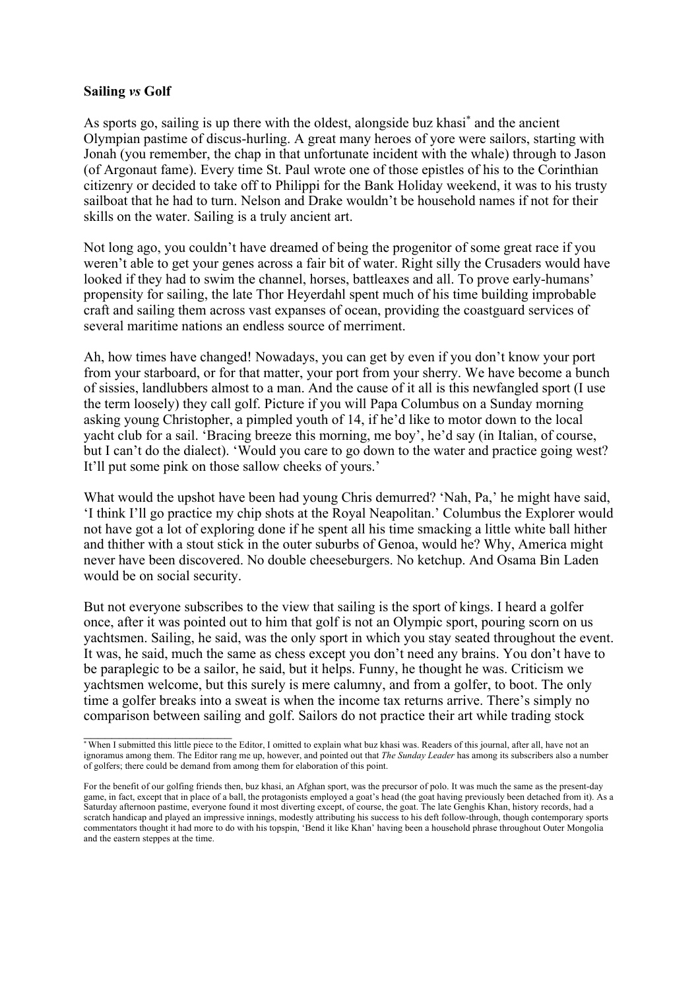## **Sailing** *vs* **Golf**

As sports go, sailing is up there with the oldest, alongside buz khasi<sup>\*</sup> and the ancient Olympian pastime of discus-hurling. A great many heroes of yore were sailors, starting with Jonah (you remember, the chap in that unfortunate incident with the whale) through to Jason (of Argonaut fame). Every time St. Paul wrote one of those epistles of his to the Corinthian citizenry or decided to take off to Philippi for the Bank Holiday weekend, it was to his trusty sailboat that he had to turn. Nelson and Drake wouldn't be household names if not for their skills on the water. Sailing is a truly ancient art.

Not long ago, you couldn't have dreamed of being the progenitor of some great race if you weren't able to get your genes across a fair bit of water. Right silly the Crusaders would have looked if they had to swim the channel, horses, battleaxes and all. To prove early-humans' propensity for sailing, the late Thor Heyerdahl spent much of his time building improbable craft and sailing them across vast expanses of ocean, providing the coastguard services of several maritime nations an endless source of merriment.

Ah, how times have changed! Nowadays, you can get by even if you don't know your port from your starboard, or for that matter, your port from your sherry. We have become a bunch of sissies, landlubbers almost to a man. And the cause of it all is this newfangled sport (I use the term loosely) they call golf. Picture if you will Papa Columbus on a Sunday morning asking young Christopher, a pimpled youth of 14, if he'd like to motor down to the local yacht club for a sail. 'Bracing breeze this morning, me boy', he'd say (in Italian, of course, but I can't do the dialect). 'Would you care to go down to the water and practice going west? It'll put some pink on those sallow cheeks of yours.'

What would the upshot have been had young Chris demurred? 'Nah, Pa,' he might have said, 'I think I'll go practice my chip shots at the Royal Neapolitan.' Columbus the Explorer would not have got a lot of exploring done if he spent all his time smacking a little white ball hither and thither with a stout stick in the outer suburbs of Genoa, would he? Why, America might never have been discovered. No double cheeseburgers. No ketchup. And Osama Bin Laden would be on social security.

But not everyone subscribes to the view that sailing is the sport of kings. I heard a golfer once, after it was pointed out to him that golf is not an Olympic sport, pouring scorn on us yachtsmen. Sailing, he said, was the only sport in which you stay seated throughout the event. It was, he said, much the same as chess except you don't need any brains. You don't have to be paraplegic to be a sailor, he said, but it helps. Funny, he thought he was. Criticism we yachtsmen welcome, but this surely is mere calumny, and from a golfer, to boot. The only time a golfer breaks into a sweat is when the income tax returns arrive. There's simply no comparison between sailing and golf. Sailors do not practice their art while trading stock

<sup>\*</sup> When I submitted this little piece to the Editor, I omitted to explain what buz khasi was. Readers of this journal, after all, have not an ignoramus among them. The Editor rang me up, however, and pointed out that *The Sunday Leader* has among its subscribers also a number of golfers; there could be demand from among them for elaboration of this point.

For the benefit of our golfing friends then, buz khasi, an Afghan sport, was the precursor of polo. It was much the same as the present-day game, in fact, except that in place of a ball, the protagonists employed a goat's head (the goat having previously been detached from it). As a Saturday afternoon pastime, everyone found it most diverting except, of course, the goat. The late Genghis Khan, history records, had a scratch handicap and played an impressive innings, modestly attributing his success to his deft follow-through, though contemporary sports commentators thought it had more to do with his topspin, 'Bend it like Khan' having been a household phrase throughout Outer Mongolia and the eastern steppes at the time.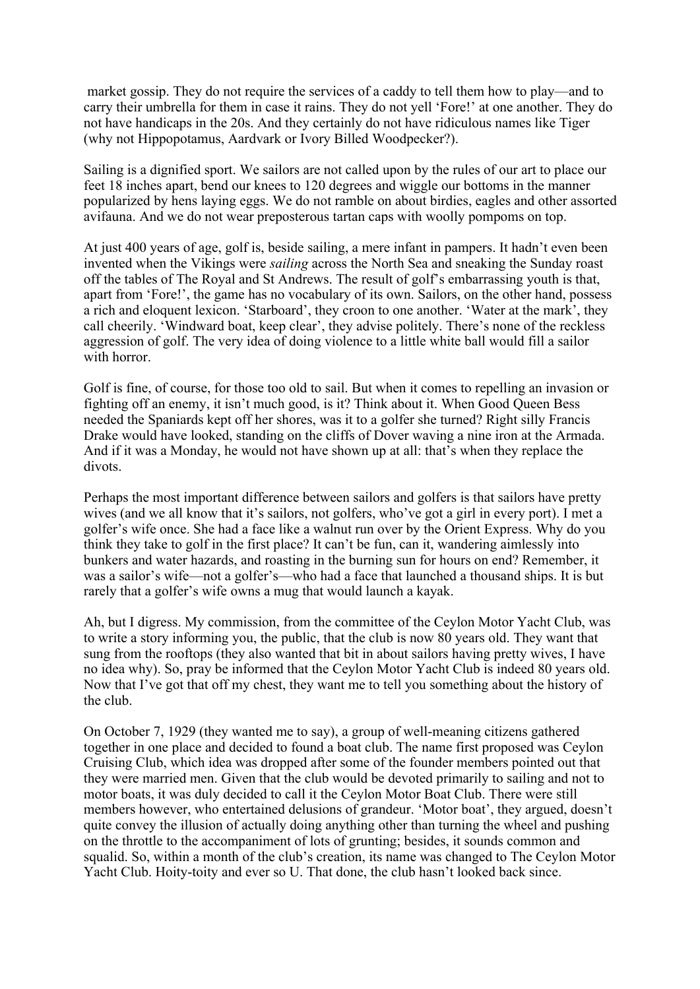market gossip. They do not require the services of a caddy to tell them how to play—and to carry their umbrella for them in case it rains. They do not yell 'Fore!' at one another. They do not have handicaps in the 20s. And they certainly do not have ridiculous names like Tiger (why not Hippopotamus, Aardvark or Ivory Billed Woodpecker?).

Sailing is a dignified sport. We sailors are not called upon by the rules of our art to place our feet 18 inches apart, bend our knees to 120 degrees and wiggle our bottoms in the manner popularized by hens laying eggs. We do not ramble on about birdies, eagles and other assorted avifauna. And we do not wear preposterous tartan caps with woolly pompoms on top.

At just 400 years of age, golf is, beside sailing, a mere infant in pampers. It hadn't even been invented when the Vikings were *sailing* across the North Sea and sneaking the Sunday roast off the tables of The Royal and St Andrews. The result of golf's embarrassing youth is that, apart from 'Fore!', the game has no vocabulary of its own. Sailors, on the other hand, possess a rich and eloquent lexicon. 'Starboard', they croon to one another. 'Water at the mark', they call cheerily. 'Windward boat, keep clear', they advise politely. There's none of the reckless aggression of golf. The very idea of doing violence to a little white ball would fill a sailor with horror.

Golf is fine, of course, for those too old to sail. But when it comes to repelling an invasion or fighting off an enemy, it isn't much good, is it? Think about it. When Good Queen Bess needed the Spaniards kept off her shores, was it to a golfer she turned? Right silly Francis Drake would have looked, standing on the cliffs of Dover waving a nine iron at the Armada. And if it was a Monday, he would not have shown up at all: that's when they replace the divots.

Perhaps the most important difference between sailors and golfers is that sailors have pretty wives (and we all know that it's sailors, not golfers, who've got a girl in every port). I met a golfer's wife once. She had a face like a walnut run over by the Orient Express. Why do you think they take to golf in the first place? It can't be fun, can it, wandering aimlessly into bunkers and water hazards, and roasting in the burning sun for hours on end? Remember, it was a sailor's wife—not a golfer's—who had a face that launched a thousand ships. It is but rarely that a golfer's wife owns a mug that would launch a kayak.

Ah, but I digress. My commission, from the committee of the Ceylon Motor Yacht Club, was to write a story informing you, the public, that the club is now 80 years old. They want that sung from the rooftops (they also wanted that bit in about sailors having pretty wives, I have no idea why). So, pray be informed that the Ceylon Motor Yacht Club is indeed 80 years old. Now that I've got that off my chest, they want me to tell you something about the history of the club.

On October 7, 1929 (they wanted me to say), a group of well-meaning citizens gathered together in one place and decided to found a boat club. The name first proposed was Ceylon Cruising Club, which idea was dropped after some of the founder members pointed out that they were married men. Given that the club would be devoted primarily to sailing and not to motor boats, it was duly decided to call it the Ceylon Motor Boat Club. There were still members however, who entertained delusions of grandeur. 'Motor boat', they argued, doesn't quite convey the illusion of actually doing anything other than turning the wheel and pushing on the throttle to the accompaniment of lots of grunting; besides, it sounds common and squalid. So, within a month of the club's creation, its name was changed to The Ceylon Motor Yacht Club. Hoity-toity and ever so U. That done, the club hasn't looked back since.